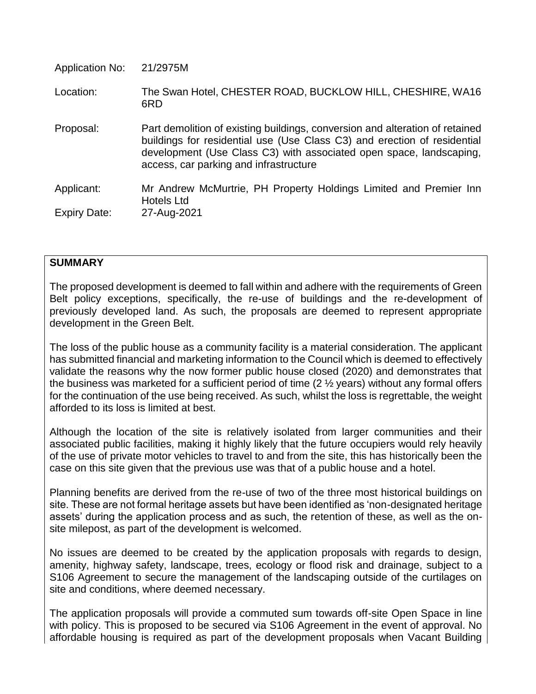| <b>Application No:</b>     | 21/2975M                                                                                                                                                                                                                                                                  |
|----------------------------|---------------------------------------------------------------------------------------------------------------------------------------------------------------------------------------------------------------------------------------------------------------------------|
| Location:                  | The Swan Hotel, CHESTER ROAD, BUCKLOW HILL, CHESHIRE, WA16<br>6RD                                                                                                                                                                                                         |
| Proposal:                  | Part demolition of existing buildings, conversion and alteration of retained<br>buildings for residential use (Use Class C3) and erection of residential<br>development (Use Class C3) with associated open space, landscaping,<br>access, car parking and infrastructure |
| Applicant:<br>Expiry Date: | Mr Andrew McMurtrie, PH Property Holdings Limited and Premier Inn<br><b>Hotels Ltd</b><br>27-Aug-2021                                                                                                                                                                     |
|                            |                                                                                                                                                                                                                                                                           |

### **SUMMARY**

The proposed development is deemed to fall within and adhere with the requirements of Green Belt policy exceptions, specifically, the re-use of buildings and the re-development of previously developed land. As such, the proposals are deemed to represent appropriate development in the Green Belt.

The loss of the public house as a community facility is a material consideration. The applicant has submitted financial and marketing information to the Council which is deemed to effectively validate the reasons why the now former public house closed (2020) and demonstrates that the business was marketed for a sufficient period of time (2 ½ years) without any formal offers for the continuation of the use being received. As such, whilst the loss is regrettable, the weight afforded to its loss is limited at best.

Although the location of the site is relatively isolated from larger communities and their associated public facilities, making it highly likely that the future occupiers would rely heavily of the use of private motor vehicles to travel to and from the site, this has historically been the case on this site given that the previous use was that of a public house and a hotel.

Planning benefits are derived from the re-use of two of the three most historical buildings on site. These are not formal heritage assets but have been identified as 'non-designated heritage assets' during the application process and as such, the retention of these, as well as the onsite milepost, as part of the development is welcomed.

No issues are deemed to be created by the application proposals with regards to design, amenity, highway safety, landscape, trees, ecology or flood risk and drainage, subject to a S106 Agreement to secure the management of the landscaping outside of the curtilages on site and conditions, where deemed necessary.

The application proposals will provide a commuted sum towards off-site Open Space in line with policy. This is proposed to be secured via S106 Agreement in the event of approval. No affordable housing is required as part of the development proposals when Vacant Building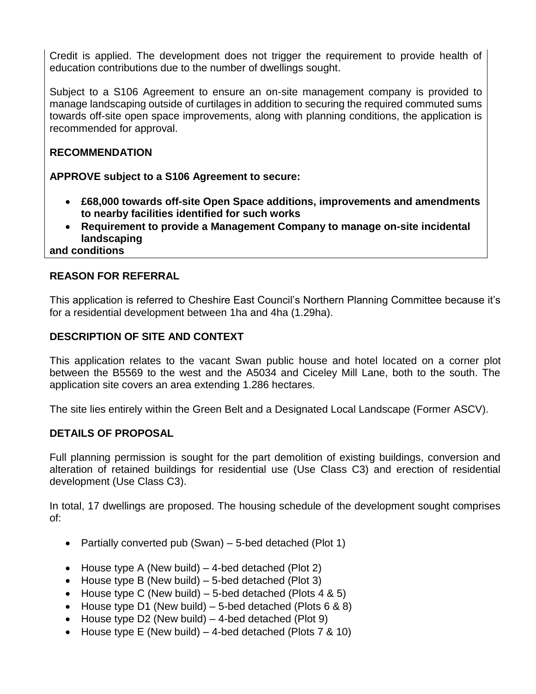Credit is applied. The development does not trigger the requirement to provide health of education contributions due to the number of dwellings sought.

Subject to a S106 Agreement to ensure an on-site management company is provided to manage landscaping outside of curtilages in addition to securing the required commuted sums towards off-site open space improvements, along with planning conditions, the application is recommended for approval.

# **RECOMMENDATION**

**APPROVE subject to a S106 Agreement to secure:**

- **£68,000 towards off-site Open Space additions, improvements and amendments to nearby facilities identified for such works**
- **Requirement to provide a Management Company to manage on-site incidental landscaping**

**and conditions**

# **REASON FOR REFERRAL**

This application is referred to Cheshire East Council's Northern Planning Committee because it's for a residential development between 1ha and 4ha (1.29ha).

# **DESCRIPTION OF SITE AND CONTEXT**

This application relates to the vacant Swan public house and hotel located on a corner plot between the B5569 to the west and the A5034 and Ciceley Mill Lane, both to the south. The application site covers an area extending 1.286 hectares.

The site lies entirely within the Green Belt and a Designated Local Landscape (Former ASCV).

# **DETAILS OF PROPOSAL**

Full planning permission is sought for the part demolition of existing buildings, conversion and alteration of retained buildings for residential use (Use Class C3) and erection of residential development (Use Class C3).

In total, 17 dwellings are proposed. The housing schedule of the development sought comprises of:

- Partially converted pub (Swan)  $-5$ -bed detached (Plot 1)
- House type A (New build)  $-$  4-bed detached (Plot 2)
- $\bullet$  House type B (New build) 5-bed detached (Plot 3)
- House type C (New build) 5-bed detached (Plots  $4 & 5$ )
- House type D1 (New build) 5-bed detached (Plots  $6 \& 8$ )
- $\bullet$  House type D2 (New build) 4-bed detached (Plot 9)
- House type E (New build) 4-bed detached (Plots  $7 < 10$ )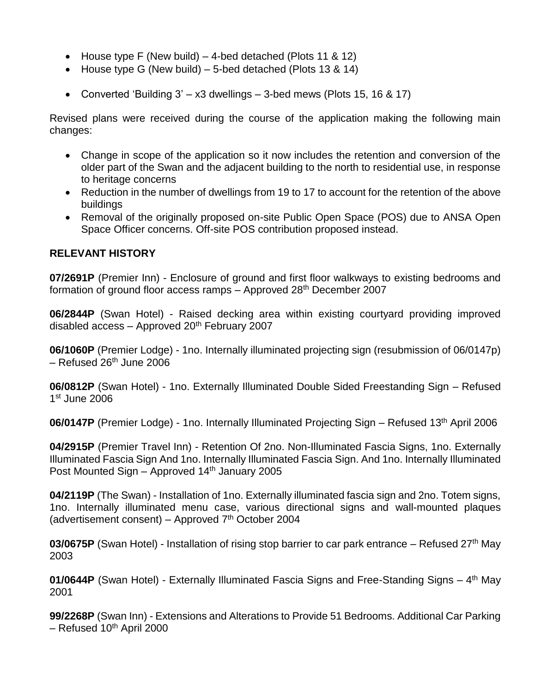- House type F (New build) 4-bed detached (Plots 11 & 12)
- House type G (New build) 5-bed detached (Plots 13 & 14)
- Converted 'Building  $3' x3$  dwellings  $-3$ -bed mews (Plots 15, 16 & 17)

Revised plans were received during the course of the application making the following main changes:

- Change in scope of the application so it now includes the retention and conversion of the older part of the Swan and the adjacent building to the north to residential use, in response to heritage concerns
- Reduction in the number of dwellings from 19 to 17 to account for the retention of the above buildings
- Removal of the originally proposed on-site Public Open Space (POS) due to ANSA Open Space Officer concerns. Off-site POS contribution proposed instead.

### **RELEVANT HISTORY**

**07/2691P** (Premier Inn) - Enclosure of ground and first floor walkways to existing bedrooms and formation of ground floor access ramps  $-$  Approved 28<sup>th</sup> December 2007

**06/2844P** (Swan Hotel) - Raised decking area within existing courtyard providing improved disabled access – Approved  $20<sup>th</sup>$  February 2007

**06/1060P** (Premier Lodge) - 1no. Internally illuminated projecting sign (resubmission of 06/0147p)  $-$  Refused 26<sup>th</sup> June 2006

**06/0812P** (Swan Hotel) - 1no. Externally Illuminated Double Sided Freestanding Sign – Refused 1 st June 2006

**06/0147P** (Premier Lodge) - 1no. Internally Illuminated Projecting Sign – Refused 13<sup>th</sup> April 2006

**04/2915P** (Premier Travel Inn) - Retention Of 2no. Non-Illuminated Fascia Signs, 1no. Externally Illuminated Fascia Sign And 1no. Internally Illuminated Fascia Sign. And 1no. Internally Illuminated Post Mounted Sign – Approved 14<sup>th</sup> January 2005

**04/2119P** (The Swan) - Installation of 1no. Externally illuminated fascia sign and 2no. Totem signs, 1no. Internally illuminated menu case, various directional signs and wall-mounted plaques (advertisement consent) – Approved  $7<sup>th</sup>$  October 2004

**03/0675P** (Swan Hotel) - Installation of rising stop barrier to car park entrance – Refused 27<sup>th</sup> May 2003

01/0644P (Swan Hotel) - Externally Illuminated Fascia Signs and Free-Standing Signs – 4<sup>th</sup> May 2001

**99/2268P** (Swan Inn) - Extensions and Alterations to Provide 51 Bedrooms. Additional Car Parking  $-$  Refused 10<sup>th</sup> April 2000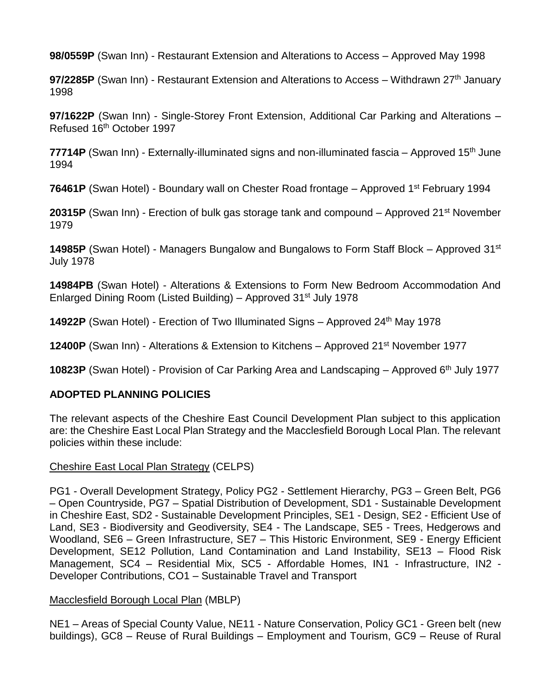**98/0559P** (Swan Inn) - Restaurant Extension and Alterations to Access – Approved May 1998

**97/2285P** (Swan Inn) - Restaurant Extension and Alterations to Access – Withdrawn 27<sup>th</sup> January 1998

**97/1622P** (Swan Inn) - Single-Storey Front Extension, Additional Car Parking and Alterations – Refused 16th October 1997

**77714P** (Swan Inn) - Externally-illuminated signs and non-illuminated fascia – Approved 15th June 1994

**76461P** (Swan Hotel) - Boundary wall on Chester Road frontage – Approved 1<sup>st</sup> February 1994

20315P (Swan Inn) - Erection of bulk gas storage tank and compound – Approved 21<sup>st</sup> November 1979

**14985P** (Swan Hotel) - Managers Bungalow and Bungalows to Form Staff Block – Approved 31st July 1978

**14984PB** (Swan Hotel) - Alterations & Extensions to Form New Bedroom Accommodation And Enlarged Dining Room (Listed Building) – Approved 31st July 1978

**14922P** (Swan Hotel) - Erection of Two Illuminated Signs – Approved 24<sup>th</sup> May 1978

**12400P** (Swan Inn) - Alterations & Extension to Kitchens – Approved 21<sup>st</sup> November 1977

**10823P** (Swan Hotel) - Provision of Car Parking Area and Landscaping – Approved 6<sup>th</sup> July 1977

# **ADOPTED PLANNING POLICIES**

The relevant aspects of the Cheshire East Council Development Plan subject to this application are: the Cheshire East Local Plan Strategy and the Macclesfield Borough Local Plan. The relevant policies within these include:

### Cheshire East Local Plan Strategy (CELPS)

PG1 - Overall Development Strategy, Policy PG2 - Settlement Hierarchy, PG3 – Green Belt, PG6 – Open Countryside, PG7 – Spatial Distribution of Development, SD1 - Sustainable Development in Cheshire East, SD2 - Sustainable Development Principles, SE1 - Design, SE2 - Efficient Use of Land, SE3 - Biodiversity and Geodiversity, SE4 - The Landscape, SE5 - Trees, Hedgerows and Woodland, SE6 – Green Infrastructure, SE7 – This Historic Environment, SE9 - Energy Efficient Development, SE12 Pollution, Land Contamination and Land Instability, SE13 – Flood Risk Management, SC4 – Residential Mix, SC5 - Affordable Homes, IN1 - Infrastructure, IN2 - Developer Contributions, CO1 – Sustainable Travel and Transport

### Macclesfield Borough Local Plan (MBLP)

NE1 – Areas of Special County Value, NE11 - Nature Conservation, Policy GC1 - Green belt (new buildings), GC8 – Reuse of Rural Buildings – Employment and Tourism, GC9 – Reuse of Rural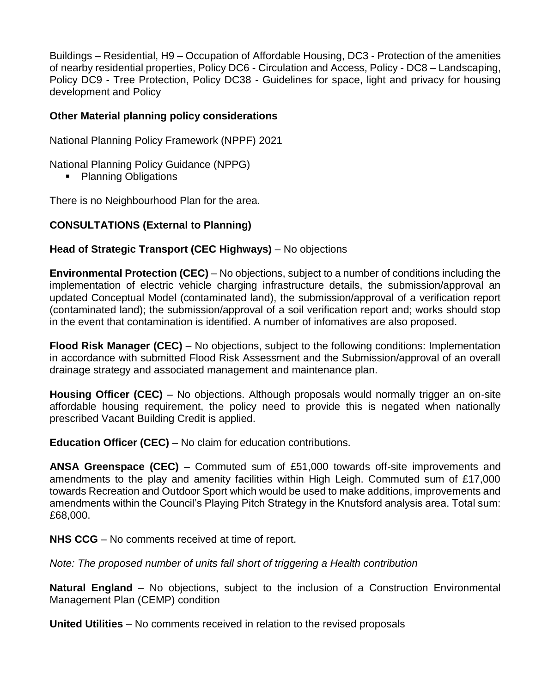Buildings – Residential, H9 – Occupation of Affordable Housing, DC3 - Protection of the amenities of nearby residential properties, Policy DC6 - Circulation and Access, Policy - DC8 – Landscaping, Policy DC9 - Tree Protection, Policy DC38 - Guidelines for space, light and privacy for housing development and Policy

### **Other Material planning policy considerations**

National Planning Policy Framework (NPPF) 2021

National Planning Policy Guidance (NPPG)

• Planning Obligations

There is no Neighbourhood Plan for the area.

# **CONSULTATIONS (External to Planning)**

### **Head of Strategic Transport (CEC Highways)** – No objections

**Environmental Protection (CEC)** – No objections, subject to a number of conditions including the implementation of electric vehicle charging infrastructure details, the submission/approval an updated Conceptual Model (contaminated land), the submission/approval of a verification report (contaminated land); the submission/approval of a soil verification report and; works should stop in the event that contamination is identified. A number of infomatives are also proposed.

**Flood Risk Manager (CEC)** – No objections, subject to the following conditions: Implementation in accordance with submitted Flood Risk Assessment and the Submission/approval of an overall drainage strategy and associated management and maintenance plan.

**Housing Officer (CEC)** – No objections. Although proposals would normally trigger an on-site affordable housing requirement, the policy need to provide this is negated when nationally prescribed Vacant Building Credit is applied.

**Education Officer (CEC)** – No claim for education contributions.

**ANSA Greenspace (CEC)** – Commuted sum of £51,000 towards off-site improvements and amendments to the play and amenity facilities within High Leigh. Commuted sum of £17,000 towards Recreation and Outdoor Sport which would be used to make additions, improvements and amendments within the Council's Playing Pitch Strategy in the Knutsford analysis area. Total sum: £68,000.

**NHS CCG** – No comments received at time of report.

*Note: The proposed number of units fall short of triggering a Health contribution* 

**Natural England** – No objections, subject to the inclusion of a Construction Environmental Management Plan (CEMP) condition

**United Utilities** – No comments received in relation to the revised proposals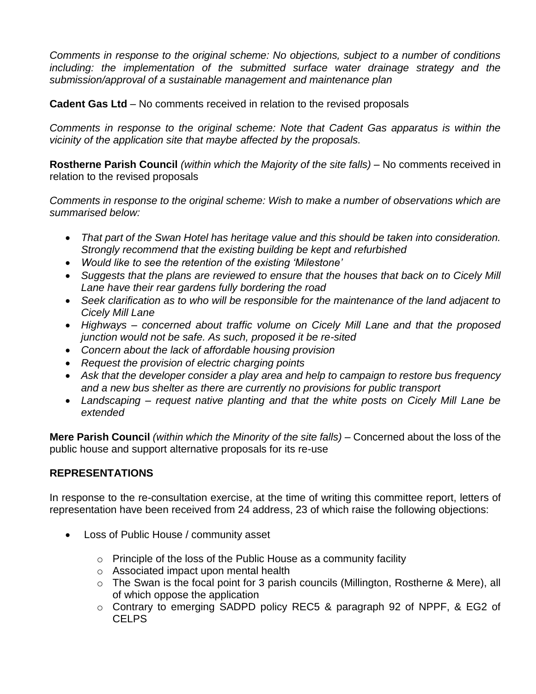*Comments in response to the original scheme: No objections, subject to a number of conditions including: the implementation of the submitted surface water drainage strategy and the submission/approval of a sustainable management and maintenance plan*

**Cadent Gas Ltd** – No comments received in relation to the revised proposals

*Comments in response to the original scheme: Note that Cadent Gas apparatus is within the vicinity of the application site that maybe affected by the proposals.*

**Rostherne Parish Council** *(within which the Majority of the site falls)* – No comments received in relation to the revised proposals

*Comments in response to the original scheme: Wish to make a number of observations which are summarised below:*

- *That part of the Swan Hotel has heritage value and this should be taken into consideration. Strongly recommend that the existing building be kept and refurbished*
- *Would like to see the retention of the existing 'Milestone'*
- *Suggests that the plans are reviewed to ensure that the houses that back on to Cicely Mill Lane have their rear gardens fully bordering the road*
- *Seek clarification as to who will be responsible for the maintenance of the land adjacent to Cicely Mill Lane*
- *Highways – concerned about traffic volume on Cicely Mill Lane and that the proposed junction would not be safe. As such, proposed it be re-sited*
- *Concern about the lack of affordable housing provision*
- *Request the provision of electric charging points*
- *Ask that the developer consider a play area and help to campaign to restore bus frequency and a new bus shelter as there are currently no provisions for public transport*
- *Landscaping – request native planting and that the white posts on Cicely Mill Lane be extended*

**Mere Parish Council** *(within which the Minority of the site falls) –* Concerned about the loss of the public house and support alternative proposals for its re-use

# **REPRESENTATIONS**

In response to the re-consultation exercise, at the time of writing this committee report, letters of representation have been received from 24 address, 23 of which raise the following objections:

- Loss of Public House / community asset
	- $\circ$  Principle of the loss of the Public House as a community facility
	- o Associated impact upon mental health
	- o The Swan is the focal point for 3 parish councils (Millington, Rostherne & Mere), all of which oppose the application
	- o Contrary to emerging SADPD policy REC5 & paragraph 92 of NPPF, & EG2 of CELPS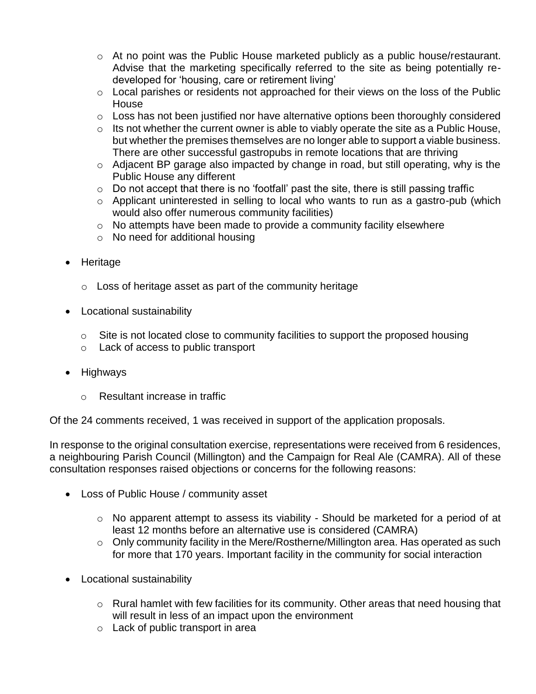- o At no point was the Public House marketed publicly as a public house/restaurant. Advise that the marketing specifically referred to the site as being potentially redeveloped for 'housing, care or retirement living'
- o Local parishes or residents not approached for their views on the loss of the Public **House**
- $\circ$  Loss has not been justified nor have alternative options been thoroughly considered
- $\circ$  Its not whether the current owner is able to viably operate the site as a Public House, but whether the premises themselves are no longer able to support a viable business. There are other successful gastropubs in remote locations that are thriving
- o Adjacent BP garage also impacted by change in road, but still operating, why is the Public House any different
- $\circ$  Do not accept that there is no 'footfall' past the site, there is still passing traffic
- $\circ$  Applicant uninterested in selling to local who wants to run as a gastro-pub (which would also offer numerous community facilities)
- o No attempts have been made to provide a community facility elsewhere
- o No need for additional housing
- Heritage
	- $\circ$  Loss of heritage asset as part of the community heritage
- Locational sustainability
	- o Site is not located close to community facilities to support the proposed housing
	- o Lack of access to public transport
- Highways
	- o Resultant increase in traffic

Of the 24 comments received, 1 was received in support of the application proposals.

In response to the original consultation exercise, representations were received from 6 residences, a neighbouring Parish Council (Millington) and the Campaign for Real Ale (CAMRA). All of these consultation responses raised objections or concerns for the following reasons:

- Loss of Public House / community asset
	- o No apparent attempt to assess its viability Should be marketed for a period of at least 12 months before an alternative use is considered (CAMRA)
	- o Only community facility in the Mere/Rostherne/Millington area. Has operated as such for more that 170 years. Important facility in the community for social interaction
- Locational sustainability
	- $\circ$  Rural hamlet with few facilities for its community. Other areas that need housing that will result in less of an impact upon the environment
	- o Lack of public transport in area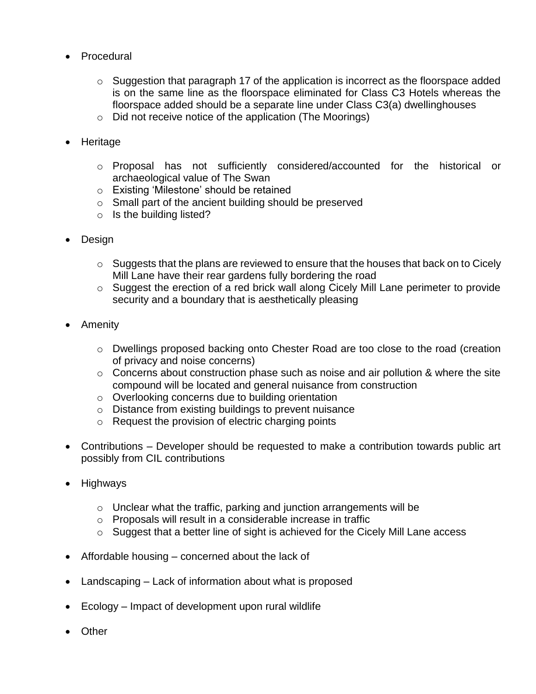- Procedural
	- $\circ$  Suggestion that paragraph 17 of the application is incorrect as the floorspace added is on the same line as the floorspace eliminated for Class C3 Hotels whereas the floorspace added should be a separate line under Class C3(a) dwellinghouses
	- o Did not receive notice of the application (The Moorings)
- Heritage
	- o Proposal has not sufficiently considered/accounted for the historical or archaeological value of The Swan
	- o Existing 'Milestone' should be retained
	- o Small part of the ancient building should be preserved
	- $\circ$  Is the building listed?
- Design
	- $\circ$  Suggests that the plans are reviewed to ensure that the houses that back on to Cicely Mill Lane have their rear gardens fully bordering the road
	- o Suggest the erection of a red brick wall along Cicely Mill Lane perimeter to provide security and a boundary that is aesthetically pleasing
- Amenity
	- o Dwellings proposed backing onto Chester Road are too close to the road (creation of privacy and noise concerns)
	- $\circ$  Concerns about construction phase such as noise and air pollution & where the site compound will be located and general nuisance from construction
	- o Overlooking concerns due to building orientation
	- o Distance from existing buildings to prevent nuisance
	- o Request the provision of electric charging points
- Contributions Developer should be requested to make a contribution towards public art possibly from CIL contributions
- Highways
	- o Unclear what the traffic, parking and junction arrangements will be
	- o Proposals will result in a considerable increase in traffic
	- o Suggest that a better line of sight is achieved for the Cicely Mill Lane access
- Affordable housing concerned about the lack of
- Landscaping Lack of information about what is proposed
- Ecology Impact of development upon rural wildlife
- Other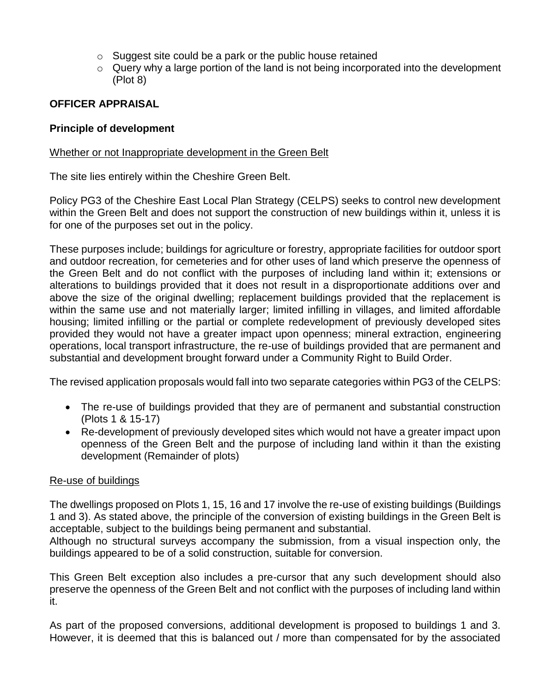- o Suggest site could be a park or the public house retained
- $\circ$  Query why a large portion of the land is not being incorporated into the development (Plot 8)

# **OFFICER APPRAISAL**

## **Principle of development**

### Whether or not Inappropriate development in the Green Belt

The site lies entirely within the Cheshire Green Belt.

Policy PG3 of the Cheshire East Local Plan Strategy (CELPS) seeks to control new development within the Green Belt and does not support the construction of new buildings within it, unless it is for one of the purposes set out in the policy.

These purposes include; buildings for agriculture or forestry, appropriate facilities for outdoor sport and outdoor recreation, for cemeteries and for other uses of land which preserve the openness of the Green Belt and do not conflict with the purposes of including land within it; extensions or alterations to buildings provided that it does not result in a disproportionate additions over and above the size of the original dwelling; replacement buildings provided that the replacement is within the same use and not materially larger; limited infilling in villages, and limited affordable housing; limited infilling or the partial or complete redevelopment of previously developed sites provided they would not have a greater impact upon openness; mineral extraction, engineering operations, local transport infrastructure, the re-use of buildings provided that are permanent and substantial and development brought forward under a Community Right to Build Order.

The revised application proposals would fall into two separate categories within PG3 of the CELPS:

- The re-use of buildings provided that they are of permanent and substantial construction (Plots 1 & 15-17)
- Re-development of previously developed sites which would not have a greater impact upon openness of the Green Belt and the purpose of including land within it than the existing development (Remainder of plots)

### Re-use of buildings

The dwellings proposed on Plots 1, 15, 16 and 17 involve the re-use of existing buildings (Buildings 1 and 3). As stated above, the principle of the conversion of existing buildings in the Green Belt is acceptable, subject to the buildings being permanent and substantial.

Although no structural surveys accompany the submission, from a visual inspection only, the buildings appeared to be of a solid construction, suitable for conversion.

This Green Belt exception also includes a pre-cursor that any such development should also preserve the openness of the Green Belt and not conflict with the purposes of including land within it.

As part of the proposed conversions, additional development is proposed to buildings 1 and 3. However, it is deemed that this is balanced out / more than compensated for by the associated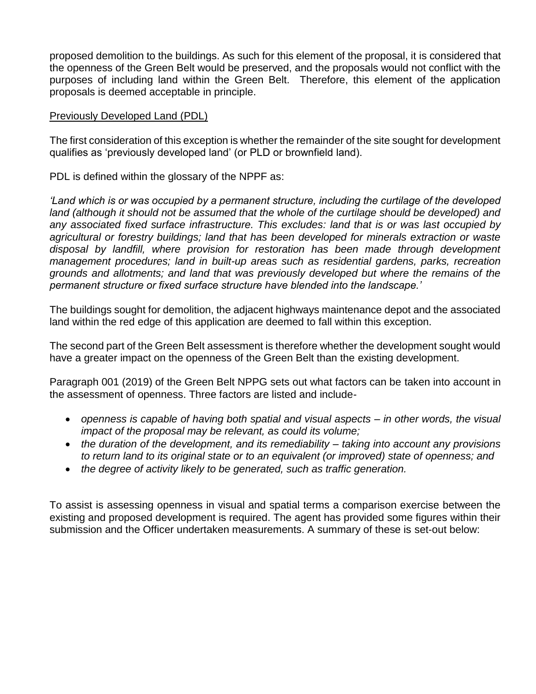proposed demolition to the buildings. As such for this element of the proposal, it is considered that the openness of the Green Belt would be preserved, and the proposals would not conflict with the purposes of including land within the Green Belt. Therefore, this element of the application proposals is deemed acceptable in principle.

#### Previously Developed Land (PDL)

The first consideration of this exception is whether the remainder of the site sought for development qualifies as 'previously developed land' (or PLD or brownfield land).

PDL is defined within the glossary of the NPPF as:

*'Land which is or was occupied by a permanent structure, including the curtilage of the developed*  land (although it should not be assumed that the whole of the curtilage should be developed) and *any associated fixed surface infrastructure. This excludes: land that is or was last occupied by agricultural or forestry buildings; land that has been developed for minerals extraction or waste disposal by landfill, where provision for restoration has been made through development management procedures; land in built-up areas such as residential gardens, parks, recreation grounds and allotments; and land that was previously developed but where the remains of the permanent structure or fixed surface structure have blended into the landscape.'*

The buildings sought for demolition, the adjacent highways maintenance depot and the associated land within the red edge of this application are deemed to fall within this exception.

The second part of the Green Belt assessment is therefore whether the development sought would have a greater impact on the openness of the Green Belt than the existing development.

Paragraph 001 (2019) of the Green Belt NPPG sets out what factors can be taken into account in the assessment of openness. Three factors are listed and include-

- *openness is capable of having both spatial and visual aspects – in other words, the visual impact of the proposal may be relevant, as could its volume;*
- *the duration of the development, and its remediability – taking into account any provisions to return land to its original state or to an equivalent (or improved) state of openness; and*
- *the degree of activity likely to be generated, such as traffic generation.*

To assist is assessing openness in visual and spatial terms a comparison exercise between the existing and proposed development is required. The agent has provided some figures within their submission and the Officer undertaken measurements. A summary of these is set-out below: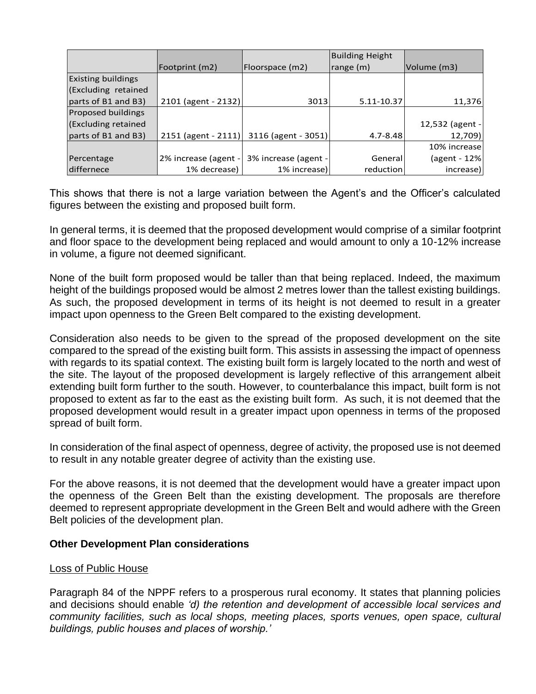|                           |                       |                      | <b>Building Height</b>   |                 |
|---------------------------|-----------------------|----------------------|--------------------------|-----------------|
|                           | Footprint (m2)        | Floorspace (m2)      | $\vert$ range $\vert$ m) | Volume (m3)     |
| <b>Existing buildings</b> |                       |                      |                          |                 |
| (Excluding retained       |                       |                      |                          |                 |
| parts of B1 and B3)       | 2101 (agent - 2132)   | 3013                 | 5.11-10.37               | 11,376          |
| Proposed buildings        |                       |                      |                          |                 |
| (Excluding retained       |                       |                      |                          | 12,532 (agent - |
| parts of B1 and B3)       | $2151$ (agent - 2111) | 3116 (agent - 3051)  | $4.7 - 8.48$             | 12,709)         |
|                           |                       |                      |                          | 10% increase    |
| Percentage                | 2% increase (agent -  | 3% increase (agent - | General                  | (agent - 12%    |
| differnece                | 1% decrease)          | 1% increase)         | reduction                | increase)       |

This shows that there is not a large variation between the Agent's and the Officer's calculated figures between the existing and proposed built form.

In general terms, it is deemed that the proposed development would comprise of a similar footprint and floor space to the development being replaced and would amount to only a 10-12% increase in volume, a figure not deemed significant.

None of the built form proposed would be taller than that being replaced. Indeed, the maximum height of the buildings proposed would be almost 2 metres lower than the tallest existing buildings. As such, the proposed development in terms of its height is not deemed to result in a greater impact upon openness to the Green Belt compared to the existing development.

Consideration also needs to be given to the spread of the proposed development on the site compared to the spread of the existing built form. This assists in assessing the impact of openness with regards to its spatial context. The existing built form is largely located to the north and west of the site. The layout of the proposed development is largely reflective of this arrangement albeit extending built form further to the south. However, to counterbalance this impact, built form is not proposed to extent as far to the east as the existing built form. As such, it is not deemed that the proposed development would result in a greater impact upon openness in terms of the proposed spread of built form.

In consideration of the final aspect of openness, degree of activity, the proposed use is not deemed to result in any notable greater degree of activity than the existing use.

For the above reasons, it is not deemed that the development would have a greater impact upon the openness of the Green Belt than the existing development. The proposals are therefore deemed to represent appropriate development in the Green Belt and would adhere with the Green Belt policies of the development plan.

### **Other Development Plan considerations**

#### Loss of Public House

Paragraph 84 of the NPPF refers to a prosperous rural economy. It states that planning policies and decisions should enable *'d) the retention and development of accessible local services and community facilities, such as local shops, meeting places, sports venues, open space, cultural buildings, public houses and places of worship.'*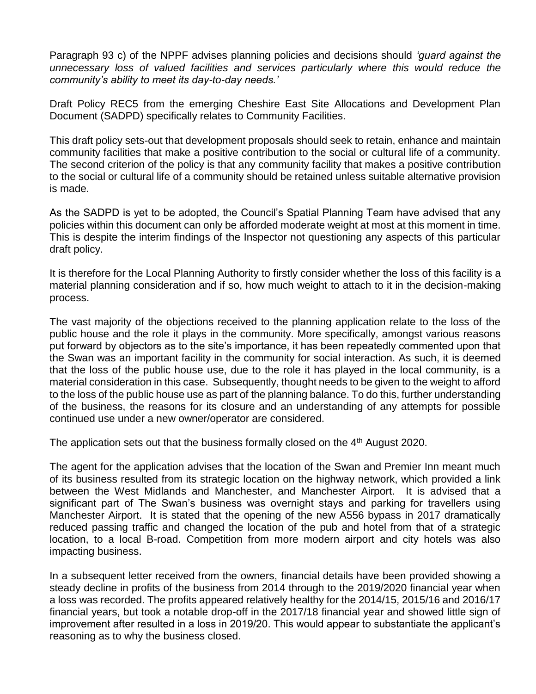Paragraph 93 c) of the NPPF advises planning policies and decisions should *'guard against the unnecessary loss of valued facilities and services particularly where this would reduce the community's ability to meet its day-to-day needs.'*

Draft Policy REC5 from the emerging Cheshire East Site Allocations and Development Plan Document (SADPD) specifically relates to Community Facilities.

This draft policy sets-out that development proposals should seek to retain, enhance and maintain community facilities that make a positive contribution to the social or cultural life of a community. The second criterion of the policy is that any community facility that makes a positive contribution to the social or cultural life of a community should be retained unless suitable alternative provision is made.

As the SADPD is yet to be adopted, the Council's Spatial Planning Team have advised that any policies within this document can only be afforded moderate weight at most at this moment in time. This is despite the interim findings of the Inspector not questioning any aspects of this particular draft policy.

It is therefore for the Local Planning Authority to firstly consider whether the loss of this facility is a material planning consideration and if so, how much weight to attach to it in the decision-making process.

The vast majority of the objections received to the planning application relate to the loss of the public house and the role it plays in the community. More specifically, amongst various reasons put forward by objectors as to the site's importance, it has been repeatedly commented upon that the Swan was an important facility in the community for social interaction. As such, it is deemed that the loss of the public house use, due to the role it has played in the local community, is a material consideration in this case. Subsequently, thought needs to be given to the weight to afford to the loss of the public house use as part of the planning balance. To do this, further understanding of the business, the reasons for its closure and an understanding of any attempts for possible continued use under a new owner/operator are considered.

The application sets out that the business formally closed on the 4<sup>th</sup> August 2020.

The agent for the application advises that the location of the Swan and Premier Inn meant much of its business resulted from its strategic location on the highway network, which provided a link between the West Midlands and Manchester, and Manchester Airport. It is advised that a significant part of The Swan's business was overnight stays and parking for travellers using Manchester Airport. It is stated that the opening of the new A556 bypass in 2017 dramatically reduced passing traffic and changed the location of the pub and hotel from that of a strategic location, to a local B-road. Competition from more modern airport and city hotels was also impacting business.

In a subsequent letter received from the owners, financial details have been provided showing a steady decline in profits of the business from 2014 through to the 2019/2020 financial year when a loss was recorded. The profits appeared relatively healthy for the 2014/15, 2015/16 and 2016/17 financial years, but took a notable drop-off in the 2017/18 financial year and showed little sign of improvement after resulted in a loss in 2019/20. This would appear to substantiate the applicant's reasoning as to why the business closed.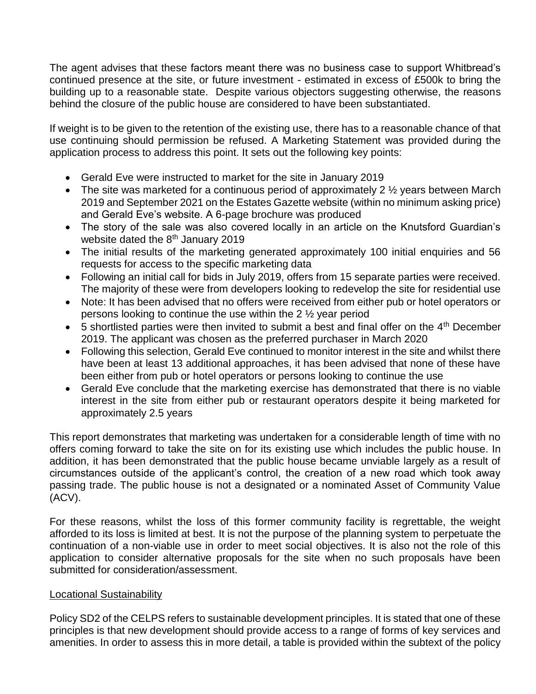The agent advises that these factors meant there was no business case to support Whitbread's continued presence at the site, or future investment - estimated in excess of £500k to bring the building up to a reasonable state. Despite various objectors suggesting otherwise, the reasons behind the closure of the public house are considered to have been substantiated.

If weight is to be given to the retention of the existing use, there has to a reasonable chance of that use continuing should permission be refused. A Marketing Statement was provided during the application process to address this point. It sets out the following key points:

- Gerald Eve were instructed to market for the site in January 2019
- The site was marketed for a continuous period of approximately 2  $\frac{1}{2}$  years between March 2019 and September 2021 on the Estates Gazette website (within no minimum asking price) and Gerald Eve's website. A 6-page brochure was produced
- The story of the sale was also covered locally in an article on the Knutsford Guardian's website dated the 8<sup>th</sup> January 2019
- The initial results of the marketing generated approximately 100 initial enquiries and 56 requests for access to the specific marketing data
- Following an initial call for bids in July 2019, offers from 15 separate parties were received. The majority of these were from developers looking to redevelop the site for residential use
- Note: It has been advised that no offers were received from either pub or hotel operators or persons looking to continue the use within the 2 ½ year period
- $\bullet$  5 shortlisted parties were then invited to submit a best and final offer on the 4<sup>th</sup> December 2019. The applicant was chosen as the preferred purchaser in March 2020
- Following this selection, Gerald Eve continued to monitor interest in the site and whilst there have been at least 13 additional approaches, it has been advised that none of these have been either from pub or hotel operators or persons looking to continue the use
- Gerald Eve conclude that the marketing exercise has demonstrated that there is no viable interest in the site from either pub or restaurant operators despite it being marketed for approximately 2.5 years

This report demonstrates that marketing was undertaken for a considerable length of time with no offers coming forward to take the site on for its existing use which includes the public house. In addition, it has been demonstrated that the public house became unviable largely as a result of circumstances outside of the applicant's control, the creation of a new road which took away passing trade. The public house is not a designated or a nominated Asset of Community Value (ACV).

For these reasons, whilst the loss of this former community facility is regrettable, the weight afforded to its loss is limited at best. It is not the purpose of the planning system to perpetuate the continuation of a non-viable use in order to meet social objectives. It is also not the role of this application to consider alternative proposals for the site when no such proposals have been submitted for consideration/assessment.

### Locational Sustainability

Policy SD2 of the CELPS refers to sustainable development principles. It is stated that one of these principles is that new development should provide access to a range of forms of key services and amenities. In order to assess this in more detail, a table is provided within the subtext of the policy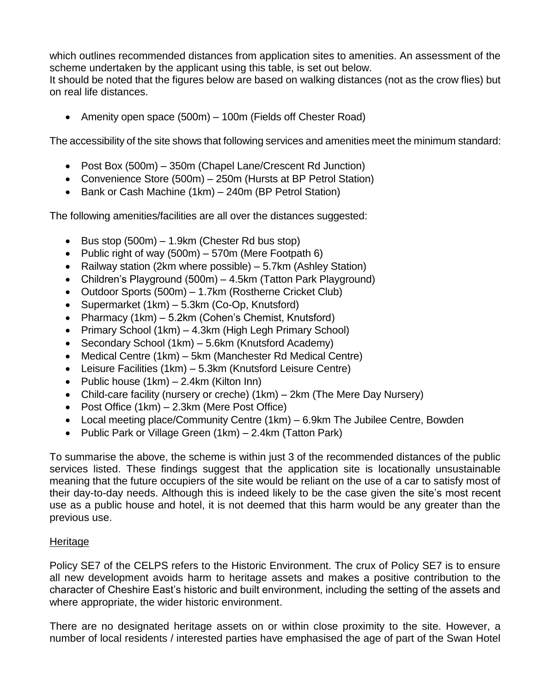which outlines recommended distances from application sites to amenities. An assessment of the scheme undertaken by the applicant using this table, is set out below.

It should be noted that the figures below are based on walking distances (not as the crow flies) but on real life distances.

• Amenity open space (500m) – 100m (Fields off Chester Road)

The accessibility of the site shows that following services and amenities meet the minimum standard:

- Post Box (500m) 350m (Chapel Lane/Crescent Rd Junction)
- Convenience Store (500m) 250m (Hursts at BP Petrol Station)
- Bank or Cash Machine (1km) 240m (BP Petrol Station)

The following amenities/facilities are all over the distances suggested:

- Bus stop  $(500m) 1.9km$  (Chester Rd bus stop)
- Public right of way  $(500m) 570m$  (Mere Footpath 6)
- Railway station (2km where possible)  $-5.7$ km (Ashley Station)
- Children's Playground (500m) 4.5km (Tatton Park Playground)
- Outdoor Sports (500m) 1.7km (Rostherne Cricket Club)
- Supermarket (1km) 5.3km (Co-Op, Knutsford)
- Pharmacy (1km) 5.2km (Cohen's Chemist, Knutsford)
- Primary School (1km) 4.3km (High Legh Primary School)
- Secondary School (1km) 5.6km (Knutsford Academy)
- Medical Centre (1km) 5km (Manchester Rd Medical Centre)
- Leisure Facilities (1km) 5.3km (Knutsford Leisure Centre)
- Public house  $(1km) 2.4km$  (Kilton Inn)
- Child-care facility (nursery or creche) (1km) 2km (The Mere Day Nursery)
- Post Office (1km) 2.3km (Mere Post Office)
- Local meeting place/Community Centre (1km) 6.9km The Jubilee Centre, Bowden
- Public Park or Village Green (1km) 2.4km (Tatton Park)

To summarise the above, the scheme is within just 3 of the recommended distances of the public services listed. These findings suggest that the application site is locationally unsustainable meaning that the future occupiers of the site would be reliant on the use of a car to satisfy most of their day-to-day needs. Although this is indeed likely to be the case given the site's most recent use as a public house and hotel, it is not deemed that this harm would be any greater than the previous use.

### Heritage

Policy SE7 of the CELPS refers to the Historic Environment. The crux of Policy SE7 is to ensure all new development avoids harm to heritage assets and makes a positive contribution to the character of Cheshire East's historic and built environment, including the setting of the assets and where appropriate, the wider historic environment.

There are no designated heritage assets on or within close proximity to the site. However, a number of local residents / interested parties have emphasised the age of part of the Swan Hotel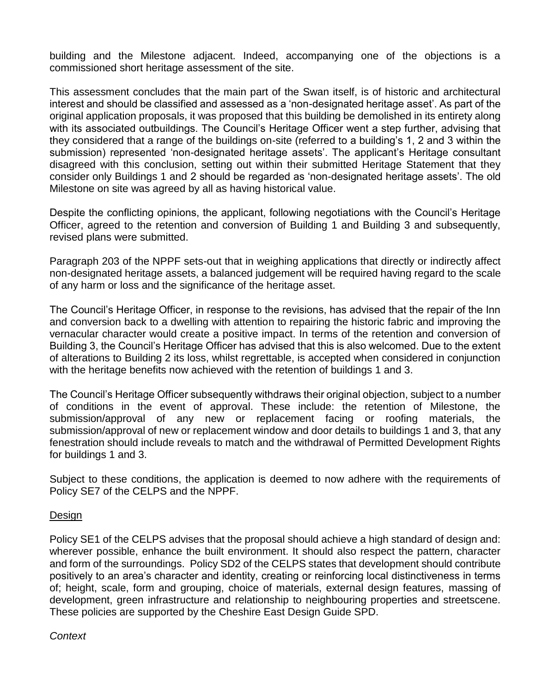building and the Milestone adjacent. Indeed, accompanying one of the objections is a commissioned short heritage assessment of the site.

This assessment concludes that the main part of the Swan itself, is of historic and architectural interest and should be classified and assessed as a 'non-designated heritage asset'. As part of the original application proposals, it was proposed that this building be demolished in its entirety along with its associated outbuildings. The Council's Heritage Officer went a step further, advising that they considered that a range of the buildings on-site (referred to a building's 1, 2 and 3 within the submission) represented 'non-designated heritage assets'. The applicant's Heritage consultant disagreed with this conclusion, setting out within their submitted Heritage Statement that they consider only Buildings 1 and 2 should be regarded as 'non-designated heritage assets'. The old Milestone on site was agreed by all as having historical value.

Despite the conflicting opinions, the applicant, following negotiations with the Council's Heritage Officer, agreed to the retention and conversion of Building 1 and Building 3 and subsequently, revised plans were submitted.

Paragraph 203 of the NPPF sets-out that in weighing applications that directly or indirectly affect non-designated heritage assets, a balanced judgement will be required having regard to the scale of any harm or loss and the significance of the heritage asset.

The Council's Heritage Officer, in response to the revisions, has advised that the repair of the Inn and conversion back to a dwelling with attention to repairing the historic fabric and improving the vernacular character would create a positive impact. In terms of the retention and conversion of Building 3, the Council's Heritage Officer has advised that this is also welcomed. Due to the extent of alterations to Building 2 its loss, whilst regrettable, is accepted when considered in conjunction with the heritage benefits now achieved with the retention of buildings 1 and 3.

The Council's Heritage Officer subsequently withdraws their original objection, subject to a number of conditions in the event of approval. These include: the retention of Milestone, the submission/approval of any new or replacement facing or roofing materials, the submission/approval of new or replacement window and door details to buildings 1 and 3, that any fenestration should include reveals to match and the withdrawal of Permitted Development Rights for buildings 1 and 3.

Subject to these conditions, the application is deemed to now adhere with the requirements of Policy SE7 of the CELPS and the NPPF.

### **Design**

Policy SE1 of the CELPS advises that the proposal should achieve a high standard of design and: wherever possible, enhance the built environment. It should also respect the pattern, character and form of the surroundings. Policy SD2 of the CELPS states that development should contribute positively to an area's character and identity, creating or reinforcing local distinctiveness in terms of; height, scale, form and grouping, choice of materials, external design features, massing of development, green infrastructure and relationship to neighbouring properties and streetscene. These policies are supported by the Cheshire East Design Guide SPD.

#### *Context*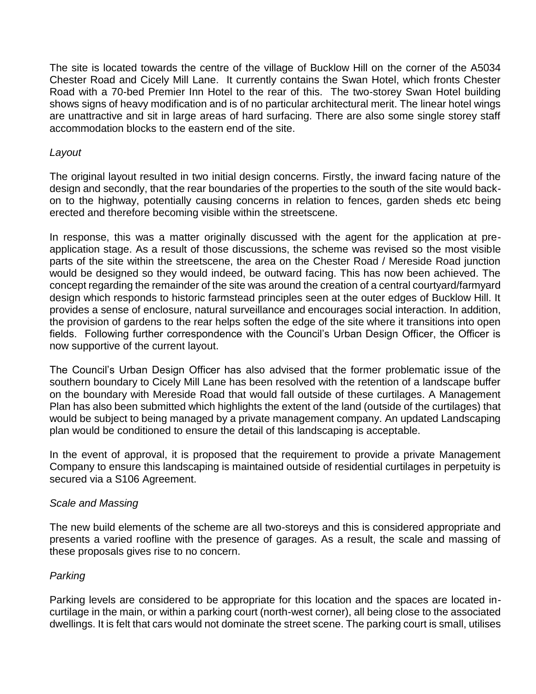The site is located towards the centre of the village of Bucklow Hill on the corner of the A5034 Chester Road and Cicely Mill Lane. It currently contains the Swan Hotel, which fronts Chester Road with a 70-bed Premier Inn Hotel to the rear of this. The two-storey Swan Hotel building shows signs of heavy modification and is of no particular architectural merit. The linear hotel wings are unattractive and sit in large areas of hard surfacing. There are also some single storey staff accommodation blocks to the eastern end of the site.

### *Layout*

The original layout resulted in two initial design concerns. Firstly, the inward facing nature of the design and secondly, that the rear boundaries of the properties to the south of the site would backon to the highway, potentially causing concerns in relation to fences, garden sheds etc being erected and therefore becoming visible within the streetscene.

In response, this was a matter originally discussed with the agent for the application at preapplication stage. As a result of those discussions, the scheme was revised so the most visible parts of the site within the streetscene, the area on the Chester Road / Mereside Road junction would be designed so they would indeed, be outward facing. This has now been achieved. The concept regarding the remainder of the site was around the creation of a central courtyard/farmyard design which responds to historic farmstead principles seen at the outer edges of Bucklow Hill. It provides a sense of enclosure, natural surveillance and encourages social interaction. In addition, the provision of gardens to the rear helps soften the edge of the site where it transitions into open fields. Following further correspondence with the Council's Urban Design Officer, the Officer is now supportive of the current layout.

The Council's Urban Design Officer has also advised that the former problematic issue of the southern boundary to Cicely Mill Lane has been resolved with the retention of a landscape buffer on the boundary with Mereside Road that would fall outside of these curtilages. A Management Plan has also been submitted which highlights the extent of the land (outside of the curtilages) that would be subject to being managed by a private management company. An updated Landscaping plan would be conditioned to ensure the detail of this landscaping is acceptable.

In the event of approval, it is proposed that the requirement to provide a private Management Company to ensure this landscaping is maintained outside of residential curtilages in perpetuity is secured via a S106 Agreement.

### *Scale and Massing*

The new build elements of the scheme are all two-storeys and this is considered appropriate and presents a varied roofline with the presence of garages. As a result, the scale and massing of these proposals gives rise to no concern.

# *Parking*

Parking levels are considered to be appropriate for this location and the spaces are located incurtilage in the main, or within a parking court (north-west corner), all being close to the associated dwellings. It is felt that cars would not dominate the street scene. The parking court is small, utilises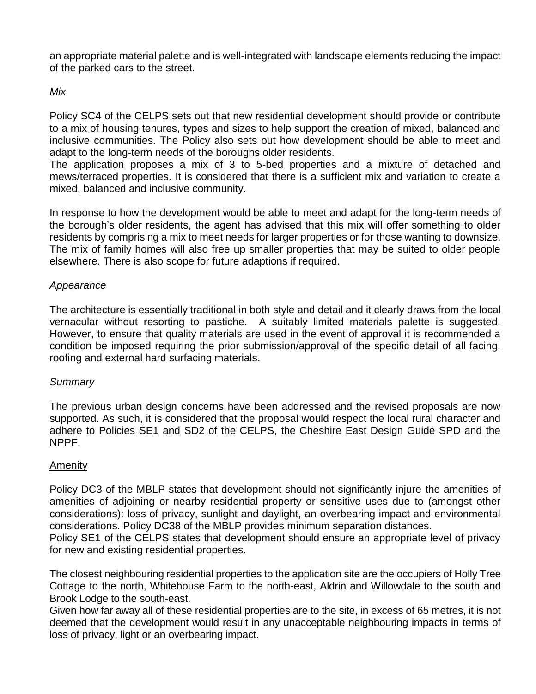an appropriate material palette and is well-integrated with landscape elements reducing the impact of the parked cars to the street.

### *Mix*

Policy SC4 of the CELPS sets out that new residential development should provide or contribute to a mix of housing tenures, types and sizes to help support the creation of mixed, balanced and inclusive communities. The Policy also sets out how development should be able to meet and adapt to the long-term needs of the boroughs older residents.

The application proposes a mix of 3 to 5-bed properties and a mixture of detached and mews/terraced properties. It is considered that there is a sufficient mix and variation to create a mixed, balanced and inclusive community.

In response to how the development would be able to meet and adapt for the long-term needs of the borough's older residents, the agent has advised that this mix will offer something to older residents by comprising a mix to meet needs for larger properties or for those wanting to downsize. The mix of family homes will also free up smaller properties that may be suited to older people elsewhere. There is also scope for future adaptions if required.

### *Appearance*

The architecture is essentially traditional in both style and detail and it clearly draws from the local vernacular without resorting to pastiche. A suitably limited materials palette is suggested. However, to ensure that quality materials are used in the event of approval it is recommended a condition be imposed requiring the prior submission/approval of the specific detail of all facing, roofing and external hard surfacing materials.

### *Summary*

The previous urban design concerns have been addressed and the revised proposals are now supported. As such, it is considered that the proposal would respect the local rural character and adhere to Policies SE1 and SD2 of the CELPS, the Cheshire East Design Guide SPD and the NPPF.

# Amenity

Policy DC3 of the MBLP states that development should not significantly injure the amenities of amenities of adjoining or nearby residential property or sensitive uses due to (amongst other considerations): loss of privacy, sunlight and daylight, an overbearing impact and environmental considerations. Policy DC38 of the MBLP provides minimum separation distances.

Policy SE1 of the CELPS states that development should ensure an appropriate level of privacy for new and existing residential properties.

The closest neighbouring residential properties to the application site are the occupiers of Holly Tree Cottage to the north, Whitehouse Farm to the north-east, Aldrin and Willowdale to the south and Brook Lodge to the south-east.

Given how far away all of these residential properties are to the site, in excess of 65 metres, it is not deemed that the development would result in any unacceptable neighbouring impacts in terms of loss of privacy, light or an overbearing impact.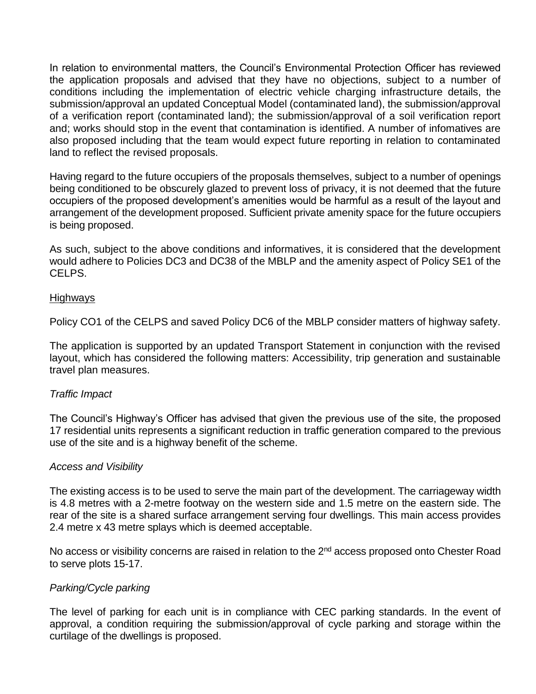In relation to environmental matters, the Council's Environmental Protection Officer has reviewed the application proposals and advised that they have no objections, subject to a number of conditions including the implementation of electric vehicle charging infrastructure details, the submission/approval an updated Conceptual Model (contaminated land), the submission/approval of a verification report (contaminated land); the submission/approval of a soil verification report and; works should stop in the event that contamination is identified. A number of infomatives are also proposed including that the team would expect future reporting in relation to contaminated land to reflect the revised proposals.

Having regard to the future occupiers of the proposals themselves, subject to a number of openings being conditioned to be obscurely glazed to prevent loss of privacy, it is not deemed that the future occupiers of the proposed development's amenities would be harmful as a result of the layout and arrangement of the development proposed. Sufficient private amenity space for the future occupiers is being proposed.

As such, subject to the above conditions and informatives, it is considered that the development would adhere to Policies DC3 and DC38 of the MBLP and the amenity aspect of Policy SE1 of the CELPS.

#### Highways

Policy CO1 of the CELPS and saved Policy DC6 of the MBLP consider matters of highway safety.

The application is supported by an updated Transport Statement in conjunction with the revised layout, which has considered the following matters: Accessibility, trip generation and sustainable travel plan measures.

### *Traffic Impact*

The Council's Highway's Officer has advised that given the previous use of the site, the proposed 17 residential units represents a significant reduction in traffic generation compared to the previous use of the site and is a highway benefit of the scheme.

#### *Access and Visibility*

The existing access is to be used to serve the main part of the development. The carriageway width is 4.8 metres with a 2-metre footway on the western side and 1.5 metre on the eastern side. The rear of the site is a shared surface arrangement serving four dwellings. This main access provides 2.4 metre x 43 metre splays which is deemed acceptable.

No access or visibility concerns are raised in relation to the 2<sup>nd</sup> access proposed onto Chester Road to serve plots 15-17.

### *Parking/Cycle parking*

The level of parking for each unit is in compliance with CEC parking standards. In the event of approval, a condition requiring the submission/approval of cycle parking and storage within the curtilage of the dwellings is proposed.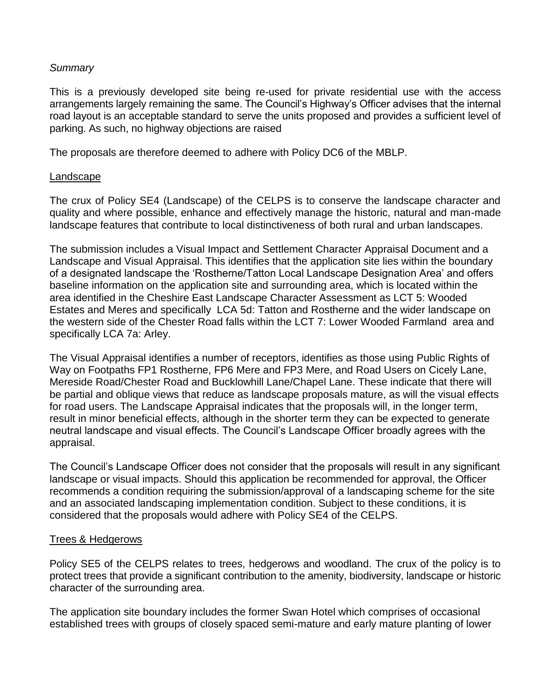### *Summary*

This is a previously developed site being re-used for private residential use with the access arrangements largely remaining the same. The Council's Highway's Officer advises that the internal road layout is an acceptable standard to serve the units proposed and provides a sufficient level of parking. As such, no highway objections are raised

The proposals are therefore deemed to adhere with Policy DC6 of the MBLP.

#### Landscape

The crux of Policy SE4 (Landscape) of the CELPS is to conserve the landscape character and quality and where possible, enhance and effectively manage the historic, natural and man-made landscape features that contribute to local distinctiveness of both rural and urban landscapes.

The submission includes a Visual Impact and Settlement Character Appraisal Document and a Landscape and Visual Appraisal. This identifies that the application site lies within the boundary of a designated landscape the 'Rostherne/Tatton Local Landscape Designation Area' and offers baseline information on the application site and surrounding area, which is located within the area identified in the Cheshire East Landscape Character Assessment as LCT 5: Wooded Estates and Meres and specifically LCA 5d: Tatton and Rostherne and the wider landscape on the western side of the Chester Road falls within the LCT 7: Lower Wooded Farmland area and specifically LCA 7a: Arley.

The Visual Appraisal identifies a number of receptors, identifies as those using Public Rights of Way on Footpaths FP1 Rostherne, FP6 Mere and FP3 Mere, and Road Users on Cicely Lane, Mereside Road/Chester Road and Bucklowhill Lane/Chapel Lane. These indicate that there will be partial and oblique views that reduce as landscape proposals mature, as will the visual effects for road users. The Landscape Appraisal indicates that the proposals will, in the longer term, result in minor beneficial effects, although in the shorter term they can be expected to generate neutral landscape and visual effects. The Council's Landscape Officer broadly agrees with the appraisal.

The Council's Landscape Officer does not consider that the proposals will result in any significant landscape or visual impacts. Should this application be recommended for approval, the Officer recommends a condition requiring the submission/approval of a landscaping scheme for the site and an associated landscaping implementation condition. Subject to these conditions, it is considered that the proposals would adhere with Policy SE4 of the CELPS.

### Trees & Hedgerows

Policy SE5 of the CELPS relates to trees, hedgerows and woodland. The crux of the policy is to protect trees that provide a significant contribution to the amenity, biodiversity, landscape or historic character of the surrounding area.

The application site boundary includes the former Swan Hotel which comprises of occasional established trees with groups of closely spaced semi-mature and early mature planting of lower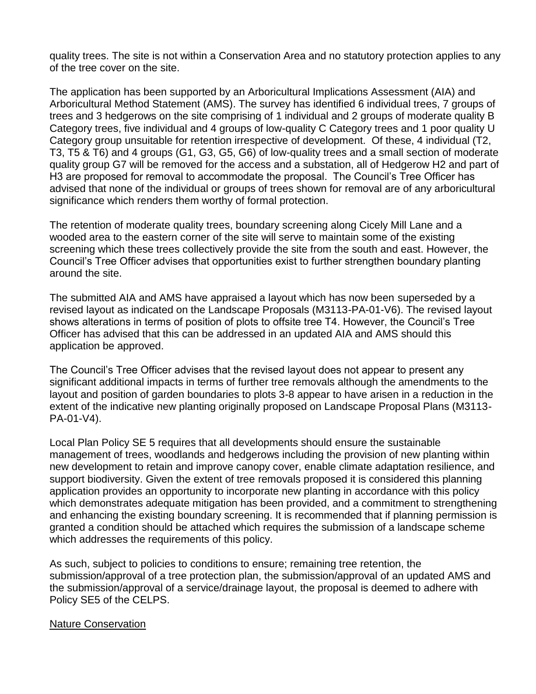quality trees. The site is not within a Conservation Area and no statutory protection applies to any of the tree cover on the site.

The application has been supported by an Arboricultural Implications Assessment (AIA) and Arboricultural Method Statement (AMS). The survey has identified 6 individual trees, 7 groups of trees and 3 hedgerows on the site comprising of 1 individual and 2 groups of moderate quality B Category trees, five individual and 4 groups of low-quality C Category trees and 1 poor quality U Category group unsuitable for retention irrespective of development. Of these, 4 individual (T2, T3, T5 & T6) and 4 groups (G1, G3, G5, G6) of low-quality trees and a small section of moderate quality group G7 will be removed for the access and a substation, all of Hedgerow H2 and part of H3 are proposed for removal to accommodate the proposal. The Council's Tree Officer has advised that none of the individual or groups of trees shown for removal are of any arboricultural significance which renders them worthy of formal protection.

The retention of moderate quality trees, boundary screening along Cicely Mill Lane and a wooded area to the eastern corner of the site will serve to maintain some of the existing screening which these trees collectively provide the site from the south and east. However, the Council's Tree Officer advises that opportunities exist to further strengthen boundary planting around the site.

The submitted AIA and AMS have appraised a layout which has now been superseded by a revised layout as indicated on the Landscape Proposals (M3113-PA-01-V6). The revised layout shows alterations in terms of position of plots to offsite tree T4. However, the Council's Tree Officer has advised that this can be addressed in an updated AIA and AMS should this application be approved.

The Council's Tree Officer advises that the revised layout does not appear to present any significant additional impacts in terms of further tree removals although the amendments to the layout and position of garden boundaries to plots 3-8 appear to have arisen in a reduction in the extent of the indicative new planting originally proposed on Landscape Proposal Plans (M3113- PA-01-V4).

Local Plan Policy SE 5 requires that all developments should ensure the sustainable management of trees, woodlands and hedgerows including the provision of new planting within new development to retain and improve canopy cover, enable climate adaptation resilience, and support biodiversity. Given the extent of tree removals proposed it is considered this planning application provides an opportunity to incorporate new planting in accordance with this policy which demonstrates adequate mitigation has been provided, and a commitment to strengthening and enhancing the existing boundary screening. It is recommended that if planning permission is granted a condition should be attached which requires the submission of a landscape scheme which addresses the requirements of this policy.

As such, subject to policies to conditions to ensure; remaining tree retention, the submission/approval of a tree protection plan, the submission/approval of an updated AMS and the submission/approval of a service/drainage layout, the proposal is deemed to adhere with Policy SE5 of the CELPS.

### Nature Conservation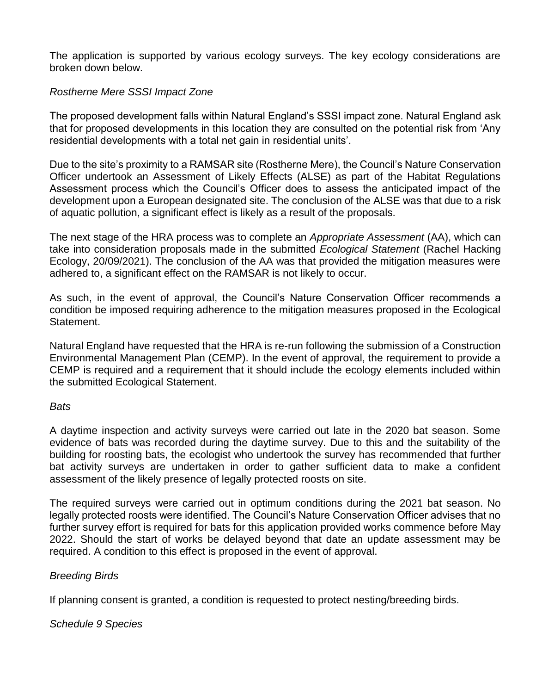The application is supported by various ecology surveys. The key ecology considerations are broken down below.

### *Rostherne Mere SSSI Impact Zone*

The proposed development falls within Natural England's SSSI impact zone. Natural England ask that for proposed developments in this location they are consulted on the potential risk from 'Any residential developments with a total net gain in residential units'.

Due to the site's proximity to a RAMSAR site (Rostherne Mere), the Council's Nature Conservation Officer undertook an Assessment of Likely Effects (ALSE) as part of the Habitat Regulations Assessment process which the Council's Officer does to assess the anticipated impact of the development upon a European designated site. The conclusion of the ALSE was that due to a risk of aquatic pollution, a significant effect is likely as a result of the proposals.

The next stage of the HRA process was to complete an *Appropriate Assessment* (AA), which can take into consideration proposals made in the submitted *Ecological Statement* (Rachel Hacking Ecology, 20/09/2021). The conclusion of the AA was that provided the mitigation measures were adhered to, a significant effect on the RAMSAR is not likely to occur.

As such, in the event of approval, the Council's Nature Conservation Officer recommends a condition be imposed requiring adherence to the mitigation measures proposed in the Ecological Statement.

Natural England have requested that the HRA is re-run following the submission of a Construction Environmental Management Plan (CEMP). In the event of approval, the requirement to provide a CEMP is required and a requirement that it should include the ecology elements included within the submitted Ecological Statement.

### *Bats*

A daytime inspection and activity surveys were carried out late in the 2020 bat season. Some evidence of bats was recorded during the daytime survey. Due to this and the suitability of the building for roosting bats, the ecologist who undertook the survey has recommended that further bat activity surveys are undertaken in order to gather sufficient data to make a confident assessment of the likely presence of legally protected roosts on site.

The required surveys were carried out in optimum conditions during the 2021 bat season. No legally protected roosts were identified. The Council's Nature Conservation Officer advises that no further survey effort is required for bats for this application provided works commence before May 2022. Should the start of works be delayed beyond that date an update assessment may be required. A condition to this effect is proposed in the event of approval.

### *Breeding Birds*

If planning consent is granted, a condition is requested to protect nesting/breeding birds.

### *Schedule 9 Species*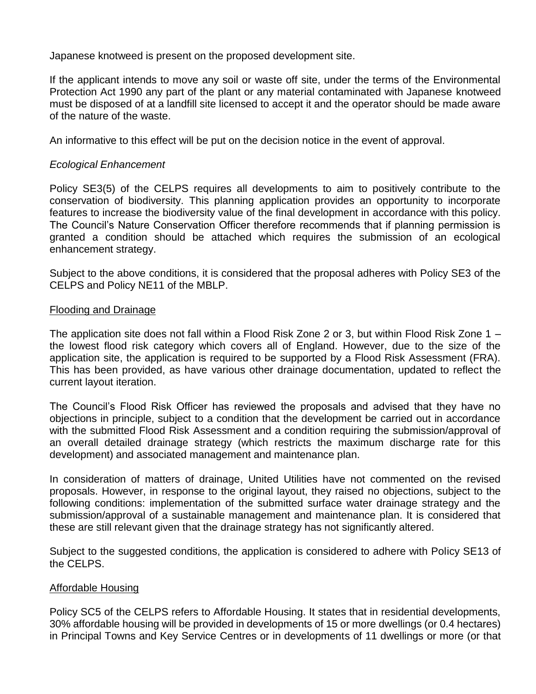Japanese knotweed is present on the proposed development site.

If the applicant intends to move any soil or waste off site, under the terms of the Environmental Protection Act 1990 any part of the plant or any material contaminated with Japanese knotweed must be disposed of at a landfill site licensed to accept it and the operator should be made aware of the nature of the waste.

An informative to this effect will be put on the decision notice in the event of approval.

### *Ecological Enhancement*

Policy SE3(5) of the CELPS requires all developments to aim to positively contribute to the conservation of biodiversity. This planning application provides an opportunity to incorporate features to increase the biodiversity value of the final development in accordance with this policy. The Council's Nature Conservation Officer therefore recommends that if planning permission is granted a condition should be attached which requires the submission of an ecological enhancement strategy.

Subject to the above conditions, it is considered that the proposal adheres with Policy SE3 of the CELPS and Policy NE11 of the MBLP.

#### Flooding and Drainage

The application site does not fall within a Flood Risk Zone 2 or 3, but within Flood Risk Zone 1 – the lowest flood risk category which covers all of England. However, due to the size of the application site, the application is required to be supported by a Flood Risk Assessment (FRA). This has been provided, as have various other drainage documentation, updated to reflect the current layout iteration.

The Council's Flood Risk Officer has reviewed the proposals and advised that they have no objections in principle, subject to a condition that the development be carried out in accordance with the submitted Flood Risk Assessment and a condition requiring the submission/approval of an overall detailed drainage strategy (which restricts the maximum discharge rate for this development) and associated management and maintenance plan.

In consideration of matters of drainage, United Utilities have not commented on the revised proposals. However, in response to the original layout, they raised no objections, subject to the following conditions: implementation of the submitted surface water drainage strategy and the submission/approval of a sustainable management and maintenance plan. It is considered that these are still relevant given that the drainage strategy has not significantly altered.

Subject to the suggested conditions, the application is considered to adhere with Policy SE13 of the CELPS.

#### Affordable Housing

Policy SC5 of the CELPS refers to Affordable Housing. It states that in residential developments, 30% affordable housing will be provided in developments of 15 or more dwellings (or 0.4 hectares) in Principal Towns and Key Service Centres or in developments of 11 dwellings or more (or that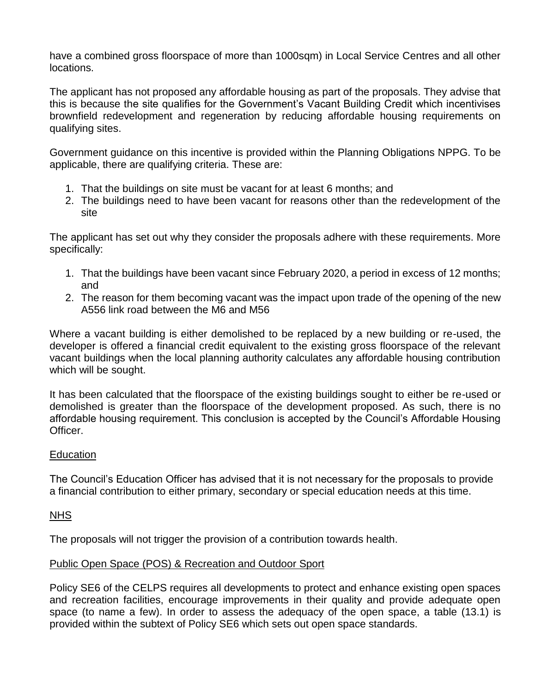have a combined gross floorspace of more than 1000sqm) in Local Service Centres and all other locations.

The applicant has not proposed any affordable housing as part of the proposals. They advise that this is because the site qualifies for the Government's Vacant Building Credit which incentivises brownfield redevelopment and regeneration by reducing affordable housing requirements on qualifying sites.

Government guidance on this incentive is provided within the Planning Obligations NPPG. To be applicable, there are qualifying criteria. These are:

- 1. That the buildings on site must be vacant for at least 6 months; and
- 2. The buildings need to have been vacant for reasons other than the redevelopment of the site

The applicant has set out why they consider the proposals adhere with these requirements. More specifically:

- 1. That the buildings have been vacant since February 2020, a period in excess of 12 months; and
- 2. The reason for them becoming vacant was the impact upon trade of the opening of the new A556 link road between the M6 and M56

Where a vacant building is either demolished to be replaced by a new building or re-used, the developer is offered a financial credit equivalent to the existing gross floorspace of the relevant vacant buildings when the local planning authority calculates any affordable housing contribution which will be sought.

It has been calculated that the floorspace of the existing buildings sought to either be re-used or demolished is greater than the floorspace of the development proposed. As such, there is no affordable housing requirement. This conclusion is accepted by the Council's Affordable Housing Officer.

# **Education**

The Council's Education Officer has advised that it is not necessary for the proposals to provide a financial contribution to either primary, secondary or special education needs at this time.

### NHS

The proposals will not trigger the provision of a contribution towards health.

### Public Open Space (POS) & Recreation and Outdoor Sport

Policy SE6 of the CELPS requires all developments to protect and enhance existing open spaces and recreation facilities, encourage improvements in their quality and provide adequate open space (to name a few). In order to assess the adequacy of the open space, a table (13.1) is provided within the subtext of Policy SE6 which sets out open space standards.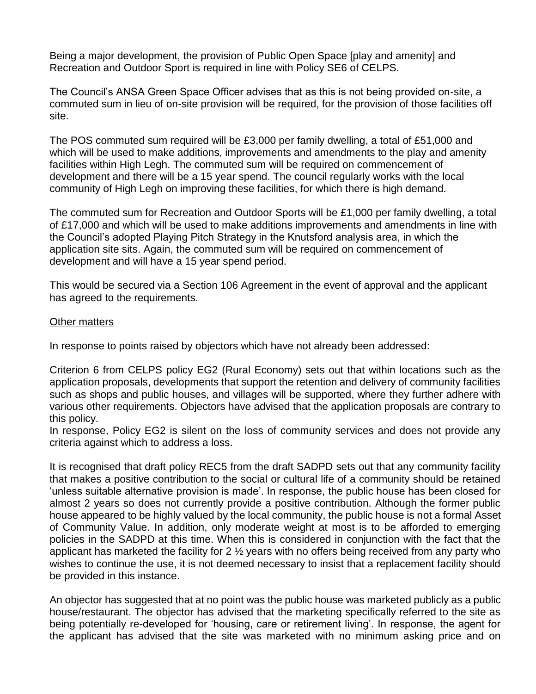Being a major development, the provision of Public Open Space [play and amenity] and Recreation and Outdoor Sport is required in line with Policy SE6 of CELPS.

The Council's ANSA Green Space Officer advises that as this is not being provided on-site, a commuted sum in lieu of on-site provision will be required, for the provision of those facilities off site.

The POS commuted sum required will be £3,000 per family dwelling, a total of £51,000 and which will be used to make additions, improvements and amendments to the play and amenity facilities within High Legh. The commuted sum will be required on commencement of development and there will be a 15 year spend. The council regularly works with the local community of High Legh on improving these facilities, for which there is high demand.

The commuted sum for Recreation and Outdoor Sports will be £1,000 per family dwelling, a total of £17,000 and which will be used to make additions improvements and amendments in line with the Council's adopted Playing Pitch Strategy in the Knutsford analysis area, in which the application site sits. Again, the commuted sum will be required on commencement of development and will have a 15 year spend period.

This would be secured via a Section 106 Agreement in the event of approval and the applicant has agreed to the requirements.

### Other matters

In response to points raised by objectors which have not already been addressed:

Criterion 6 from CELPS policy EG2 (Rural Economy) sets out that within locations such as the application proposals, developments that support the retention and delivery of community facilities such as shops and public houses, and villages will be supported, where they further adhere with various other requirements. Objectors have advised that the application proposals are contrary to this policy.

In response, Policy EG2 is silent on the loss of community services and does not provide any criteria against which to address a loss.

It is recognised that draft policy REC5 from the draft SADPD sets out that any community facility that makes a positive contribution to the social or cultural life of a community should be retained 'unless suitable alternative provision is made'. In response, the public house has been closed for almost 2 years so does not currently provide a positive contribution. Although the former public house appeared to be highly valued by the local community, the public house is not a formal Asset of Community Value. In addition, only moderate weight at most is to be afforded to emerging policies in the SADPD at this time. When this is considered in conjunction with the fact that the applicant has marketed the facility for 2 ½ years with no offers being received from any party who wishes to continue the use, it is not deemed necessary to insist that a replacement facility should be provided in this instance.

An objector has suggested that at no point was the public house was marketed publicly as a public house/restaurant. The objector has advised that the marketing specifically referred to the site as being potentially re-developed for 'housing, care or retirement living'. In response, the agent for the applicant has advised that the site was marketed with no minimum asking price and on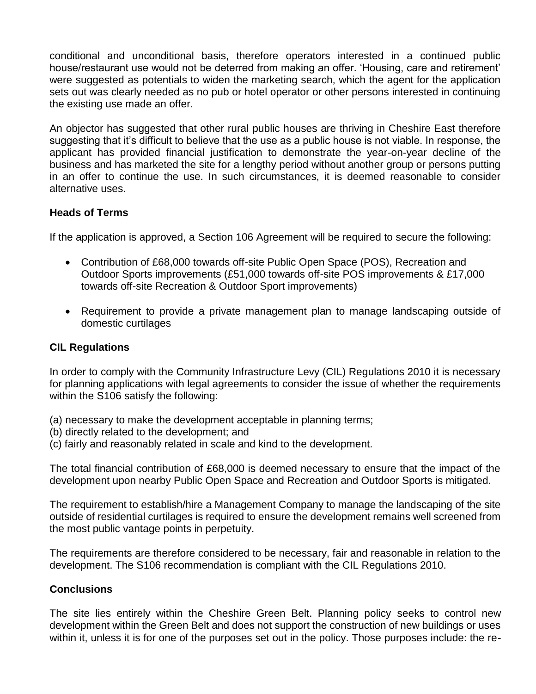conditional and unconditional basis, therefore operators interested in a continued public house/restaurant use would not be deterred from making an offer. 'Housing, care and retirement' were suggested as potentials to widen the marketing search, which the agent for the application sets out was clearly needed as no pub or hotel operator or other persons interested in continuing the existing use made an offer.

An objector has suggested that other rural public houses are thriving in Cheshire East therefore suggesting that it's difficult to believe that the use as a public house is not viable. In response, the applicant has provided financial justification to demonstrate the year-on-year decline of the business and has marketed the site for a lengthy period without another group or persons putting in an offer to continue the use. In such circumstances, it is deemed reasonable to consider alternative uses.

### **Heads of Terms**

If the application is approved, a Section 106 Agreement will be required to secure the following:

- Contribution of £68,000 towards off-site Public Open Space (POS), Recreation and Outdoor Sports improvements (£51,000 towards off-site POS improvements & £17,000 towards off-site Recreation & Outdoor Sport improvements)
- Requirement to provide a private management plan to manage landscaping outside of domestic curtilages

### **CIL Regulations**

In order to comply with the Community Infrastructure Levy (CIL) Regulations 2010 it is necessary for planning applications with legal agreements to consider the issue of whether the requirements within the S106 satisfy the following:

- (a) necessary to make the development acceptable in planning terms;
- (b) directly related to the development; and
- (c) fairly and reasonably related in scale and kind to the development.

The total financial contribution of £68,000 is deemed necessary to ensure that the impact of the development upon nearby Public Open Space and Recreation and Outdoor Sports is mitigated.

The requirement to establish/hire a Management Company to manage the landscaping of the site outside of residential curtilages is required to ensure the development remains well screened from the most public vantage points in perpetuity.

The requirements are therefore considered to be necessary, fair and reasonable in relation to the development. The S106 recommendation is compliant with the CIL Regulations 2010.

### **Conclusions**

The site lies entirely within the Cheshire Green Belt. Planning policy seeks to control new development within the Green Belt and does not support the construction of new buildings or uses within it, unless it is for one of the purposes set out in the policy. Those purposes include: the re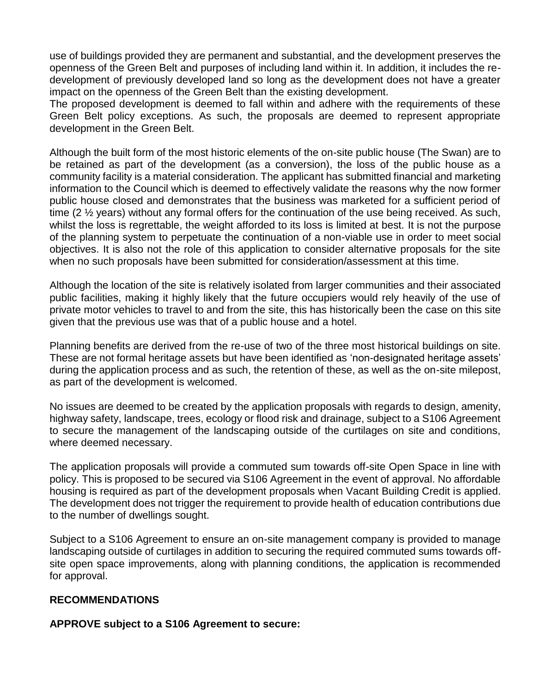use of buildings provided they are permanent and substantial, and the development preserves the openness of the Green Belt and purposes of including land within it. In addition, it includes the redevelopment of previously developed land so long as the development does not have a greater impact on the openness of the Green Belt than the existing development.

The proposed development is deemed to fall within and adhere with the requirements of these Green Belt policy exceptions. As such, the proposals are deemed to represent appropriate development in the Green Belt.

Although the built form of the most historic elements of the on-site public house (The Swan) are to be retained as part of the development (as a conversion), the loss of the public house as a community facility is a material consideration. The applicant has submitted financial and marketing information to the Council which is deemed to effectively validate the reasons why the now former public house closed and demonstrates that the business was marketed for a sufficient period of time (2 ½ years) without any formal offers for the continuation of the use being received. As such, whilst the loss is regrettable, the weight afforded to its loss is limited at best. It is not the purpose of the planning system to perpetuate the continuation of a non-viable use in order to meet social objectives. It is also not the role of this application to consider alternative proposals for the site when no such proposals have been submitted for consideration/assessment at this time.

Although the location of the site is relatively isolated from larger communities and their associated public facilities, making it highly likely that the future occupiers would rely heavily of the use of private motor vehicles to travel to and from the site, this has historically been the case on this site given that the previous use was that of a public house and a hotel.

Planning benefits are derived from the re-use of two of the three most historical buildings on site. These are not formal heritage assets but have been identified as 'non-designated heritage assets' during the application process and as such, the retention of these, as well as the on-site milepost, as part of the development is welcomed.

No issues are deemed to be created by the application proposals with regards to design, amenity, highway safety, landscape, trees, ecology or flood risk and drainage, subject to a S106 Agreement to secure the management of the landscaping outside of the curtilages on site and conditions, where deemed necessary.

The application proposals will provide a commuted sum towards off-site Open Space in line with policy. This is proposed to be secured via S106 Agreement in the event of approval. No affordable housing is required as part of the development proposals when Vacant Building Credit is applied. The development does not trigger the requirement to provide health of education contributions due to the number of dwellings sought.

Subject to a S106 Agreement to ensure an on-site management company is provided to manage landscaping outside of curtilages in addition to securing the required commuted sums towards offsite open space improvements, along with planning conditions, the application is recommended for approval.

### **RECOMMENDATIONS**

**APPROVE subject to a S106 Agreement to secure:**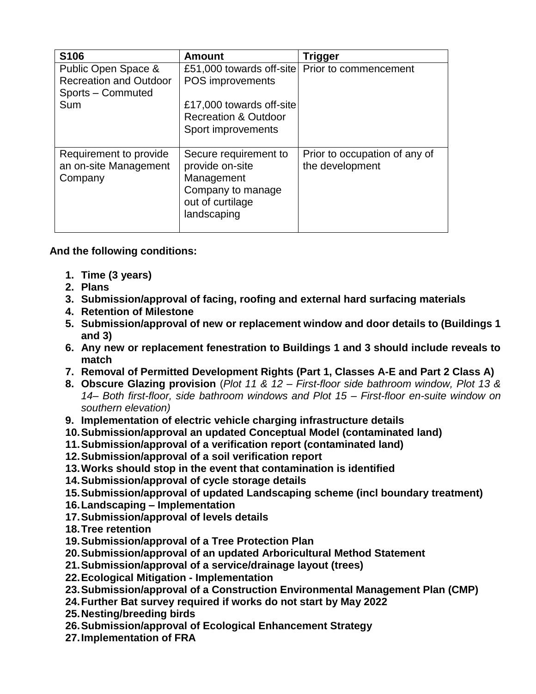| S106                          | <b>Amount</b>                   | Trigger                       |
|-------------------------------|---------------------------------|-------------------------------|
| Public Open Space &           | £51,000 towards off-site        | Prior to commencement         |
| <b>Recreation and Outdoor</b> | POS improvements                |                               |
| Sports - Commuted             |                                 |                               |
| Sum                           | £17,000 towards off-site        |                               |
|                               | <b>Recreation &amp; Outdoor</b> |                               |
|                               | Sport improvements              |                               |
|                               |                                 |                               |
| Requirement to provide        | Secure requirement to           | Prior to occupation of any of |
| an on-site Management         | provide on-site                 | the development               |
| Company                       | Management                      |                               |
|                               | Company to manage               |                               |
|                               | out of curtilage                |                               |
|                               | landscaping                     |                               |
|                               |                                 |                               |

**And the following conditions:**

- **1. Time (3 years)**
- **2. Plans**
- **3. Submission/approval of facing, roofing and external hard surfacing materials**
- **4. Retention of Milestone**
- **5. Submission/approval of new or replacement window and door details to (Buildings 1 and 3)**
- **6. Any new or replacement fenestration to Buildings 1 and 3 should include reveals to match**
- **7. Removal of Permitted Development Rights (Part 1, Classes A-E and Part 2 Class A)**
- **8. Obscure Glazing provision** (*Plot 11 & 12 – First-floor side bathroom window, Plot 13 & 14– Both first-floor, side bathroom windows and Plot 15 – First-floor en-suite window on southern elevation)*
- **9. Implementation of electric vehicle charging infrastructure details**
- **10.Submission/approval an updated Conceptual Model (contaminated land)**
- **11.Submission/approval of a verification report (contaminated land)**
- **12.Submission/approval of a soil verification report**
- **13.Works should stop in the event that contamination is identified**
- **14.Submission/approval of cycle storage details**
- **15.Submission/approval of updated Landscaping scheme (incl boundary treatment)**
- **16.Landscaping – Implementation**
- **17.Submission/approval of levels details**
- **18.Tree retention**
- **19.Submission/approval of a Tree Protection Plan**
- **20.Submission/approval of an updated Arboricultural Method Statement**
- **21.Submission/approval of a service/drainage layout (trees)**
- **22.Ecological Mitigation - Implementation**
- **23.Submission/approval of a Construction Environmental Management Plan (CMP)**
- **24.Further Bat survey required if works do not start by May 2022**
- **25.Nesting/breeding birds**
- **26.Submission/approval of Ecological Enhancement Strategy**
- **27.Implementation of FRA**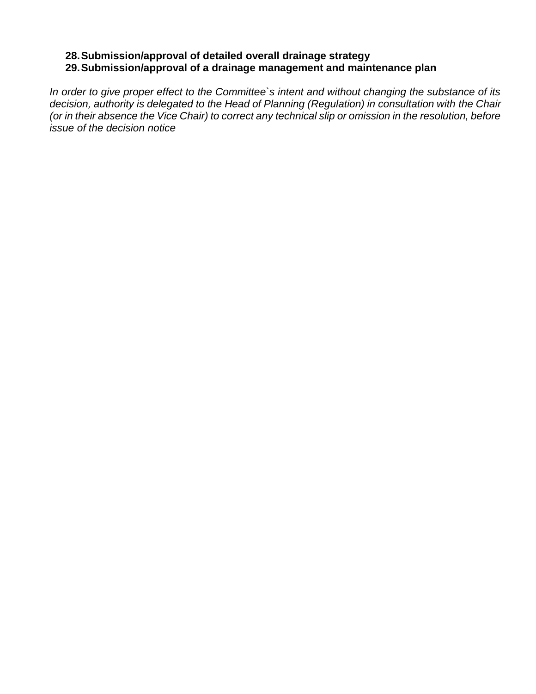## **28.Submission/approval of detailed overall drainage strategy 29.Submission/approval of a drainage management and maintenance plan**

*In order to give proper effect to the Committee`s intent and without changing the substance of its decision, authority is delegated to the Head of Planning (Regulation) in consultation with the Chair (or in their absence the Vice Chair) to correct any technical slip or omission in the resolution, before issue of the decision notice*